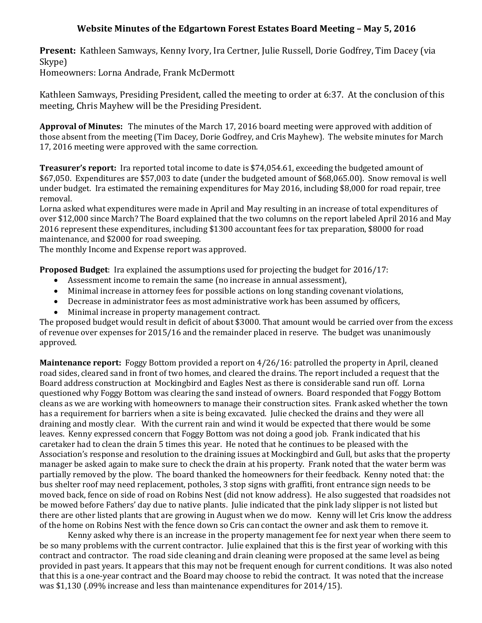# **Website Minutes of the Edgartown Forest Estates Board Meeting – May 5, 2016**

**Present:** Kathleen Samways, Kenny Ivory, Ira Certner, Julie Russell, Dorie Godfrey, Tim Dacey (via Skype)

Homeowners: Lorna Andrade, Frank McDermott

Kathleen Samways, Presiding President, called the meeting to order at 6:37. At the conclusion of this meeting, Chris Mayhew will be the Presiding President.

**Approval of Minutes:** The minutes of the March 17, 2016 board meeting were approved with addition of those absent from the meeting (Tim Dacey, Dorie Godfrey, and Cris Mayhew). The website minutes for March 17, 2016 meeting were approved with the same correction.

**Treasurer's report:** Ira reported total income to date is \$74,054.61, exceeding the budgeted amount of \$67,050. Expenditures are \$57,003 to date (under the budgeted amount of \$68,065.00). Snow removal is well under budget. Ira estimated the remaining expenditures for May 2016, including \$8,000 for road repair, tree removal.

Lorna asked what expenditures were made in April and May resulting in an increase of total expenditures of over \$12,000 since March? The Board explained that the two columns on the report labeled April 2016 and May 2016 represent these expenditures, including \$1300 accountant fees for tax preparation, \$8000 for road maintenance, and \$2000 for road sweeping.

The monthly Income and Expense report was approved.

**Proposed Budget**: Ira explained the assumptions used for projecting the budget for 2016/17:

- Assessment income to remain the same (no increase in annual assessment),
- Minimal increase in attorney fees for possible actions on long standing covenant violations,
- Decrease in administrator fees as most administrative work has been assumed by officers,
- Minimal increase in property management contract.

The proposed budget would result in deficit of about \$3000. That amount would be carried over from the excess of revenue over expenses for 2015/16 and the remainder placed in reserve. The budget was unanimously approved.

**Maintenance report:** Foggy Bottom provided a report on 4/26/16: patrolled the property in April, cleaned road sides, cleared sand in front of two homes, and cleared the drains. The report included a request that the Board address construction at Mockingbird and Eagles Nest as there is considerable sand run off. Lorna questioned why Foggy Bottom was clearing the sand instead of owners. Board responded that Foggy Bottom cleans as we are working with homeowners to manage their construction sites. Frank asked whether the town has a requirement for barriers when a site is being excavated. Julie checked the drains and they were all draining and mostly clear. With the current rain and wind it would be expected that there would be some leaves. Kenny expressed concern that Foggy Bottom was not doing a good job. Frank indicated that his caretaker had to clean the drain 5 times this year. He noted that he continues to be pleased with the Association's response and resolution to the draining issues at Mockingbird and Gull, but asks that the property manager be asked again to make sure to check the drain at his property. Frank noted that the water berm was partially removed by the plow. The board thanked the homeowners for their feedback. Kenny noted that: the bus shelter roof may need replacement, potholes, 3 stop signs with graffiti, front entrance sign needs to be moved back, fence on side of road on Robins Nest (did not know address). He also suggested that roadsides not be mowed before Fathers' day due to native plants. Julie indicated that the pink lady slipper is not listed but there are other listed plants that are growing in August when we do mow. Kenny will let Cris know the address of the home on Robins Nest with the fence down so Cris can contact the owner and ask them to remove it.

Kenny asked why there is an increase in the property management fee for next year when there seem to be so many problems with the current contractor. Julie explained that this is the first year of working with this contract and contractor. The road side cleaning and drain cleaning were proposed at the same level as being provided in past years. It appears that this may not be frequent enough for current conditions. It was also noted that this is a one-year contract and the Board may choose to rebid the contract. It was noted that the increase was \$1,130 (.09% increase and less than maintenance expenditures for 2014/15).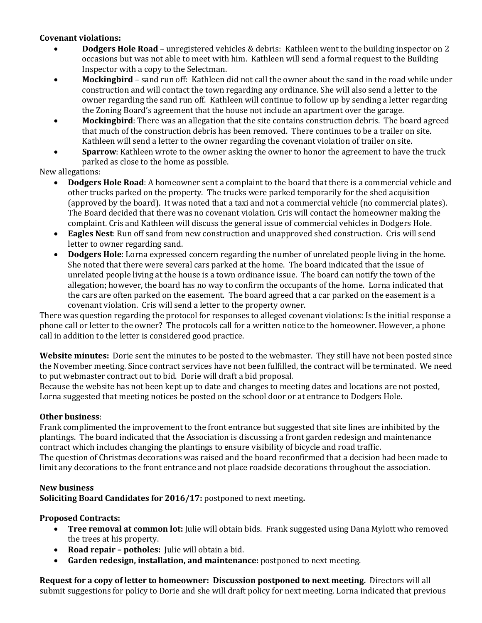## **Covenant violations:**

- **•** Dodgers Hole Road unregistered vehicles & debris: Kathleen went to the building inspector on 2 occasions but was not able to meet with him. Kathleen will send a formal request to the Building Inspector with a copy to the Selectman.
- **Mockingbird** sand run off: Kathleen did not call the owner about the sand in the road while under construction and will contact the town regarding any ordinance. She will also send a letter to the owner regarding the sand run off. Kathleen will continue to follow up by sending a letter regarding the Zoning Board's agreement that the house not include an apartment over the garage.
- **Mockingbird**: There was an allegation that the site contains construction debris. The board agreed that much of the construction debris has been removed. There continues to be a trailer on site. Kathleen will send a letter to the owner regarding the covenant violation of trailer on site.
- **Sparrow**: Kathleen wrote to the owner asking the owner to honor the agreement to have the truck parked as close to the home as possible.

New allegations:

- **Dodgers Hole Road**: A homeowner sent a complaint to the board that there is a commercial vehicle and other trucks parked on the property. The trucks were parked temporarily for the shed acquisition (approved by the board). It was noted that a taxi and not a commercial vehicle (no commercial plates). The Board decided that there was no covenant violation. Cris will contact the homeowner making the complaint. Cris and Kathleen will discuss the general issue of commercial vehicles in Dodgers Hole.
- **Eagles Nest**: Run off sand from new construction and unapproved shed construction. Cris will send letter to owner regarding sand.
- **Dodgers Hole**: Lorna expressed concern regarding the number of unrelated people living in the home. She noted that there were several cars parked at the home. The board indicated that the issue of unrelated people living at the house is a town ordinance issue. The board can notify the town of the allegation; however, the board has no way to confirm the occupants of the home. Lorna indicated that the cars are often parked on the easement. The board agreed that a car parked on the easement is a covenant violation. Cris will send a letter to the property owner.

There was question regarding the protocol for responses to alleged covenant violations: Is the initial response a phone call or letter to the owner? The protocols call for a written notice to the homeowner. However, a phone call in addition to the letter is considered good practice.

**Website minutes:** Dorie sent the minutes to be posted to the webmaster. They still have not been posted since the November meeting. Since contract services have not been fulfilled, the contract will be terminated. We need to put webmaster contract out to bid. Dorie will draft a bid proposal.

Because the website has not been kept up to date and changes to meeting dates and locations are not posted, Lorna suggested that meeting notices be posted on the school door or at entrance to Dodgers Hole.

### **Other business**:

Frank complimented the improvement to the front entrance but suggested that site lines are inhibited by the plantings. The board indicated that the Association is discussing a front garden redesign and maintenance contract which includes changing the plantings to ensure visibility of bicycle and road traffic. The question of Christmas decorations was raised and the board reconfirmed that a decision had been made to limit any decorations to the front entrance and not place roadside decorations throughout the association.

### **New business**

**Soliciting Board Candidates for 2016/17:** postponed to next meeting**.**

### **Proposed Contracts:**

- **Tree removal at common lot:** Julie will obtain bids. Frank suggested using Dana Mylott who removed the trees at his property.
- **Road repair – potholes:** Julie will obtain a bid.
- **Garden redesign, installation, and maintenance:** postponed to next meeting.

**Request for a copy of letter to homeowner: Discussion postponed to next meeting.** Directors will all submit suggestions for policy to Dorie and she will draft policy for next meeting. Lorna indicated that previous